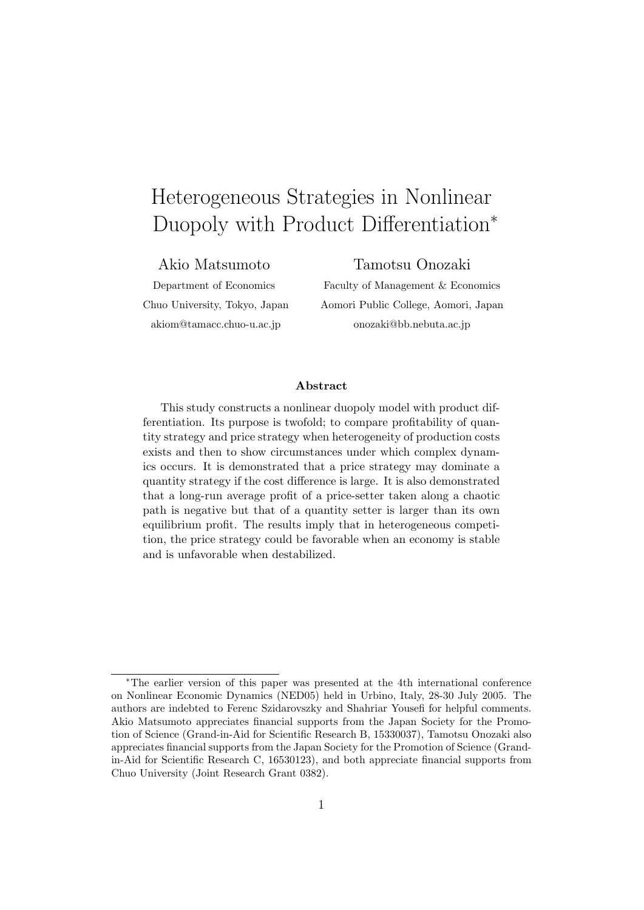# Heterogeneous Strategies in Nonlinear Duopoly with Product Differentiation<sup>∗</sup>

#### Akio Matsumoto

### Tamotsu Onozaki

Department of Economics Chuo University, Tokyo, Japan akiom@tamacc.chuo-u.ac.jp

Faculty of Management & Economics Aomori Public College, Aomori, Japan onozaki@bb.nebuta.ac.jp

#### Abstract

This study constructs a nonlinear duopoly model with product differentiation. Its purpose is twofold; to compare profitability of quantity strategy and price strategy when heterogeneity of production costs exists and then to show circumstances under which complex dynamics occurs. It is demonstrated that a price strategy may dominate a quantity strategy if the cost difference is large. It is also demonstrated that a long-run average profit of a price-setter taken along a chaotic path is negative but that of a quantity setter is larger than its own equilibrium profit. The results imply that in heterogeneous competition, the price strategy could be favorable when an economy is stable and is unfavorable when destabilized.

<sup>∗</sup>The earlier version of this paper was presented at the 4th international conference on Nonlinear Economic Dynamics (NED05) held in Urbino, Italy, 28-30 July 2005. The authors are indebted to Ferenc Szidarovszky and Shahriar Yousefi for helpful comments. Akio Matsumoto appreciates financial supports from the Japan Society for the Promotion of Science (Grand-in-Aid for Scientific Research B, 15330037), Tamotsu Onozaki also appreciates financial supports from the Japan Society for the Promotion of Science (Grandin-Aid for Scientific Research C, 16530123), and both appreciate financial supports from Chuo University (Joint Research Grant 0382).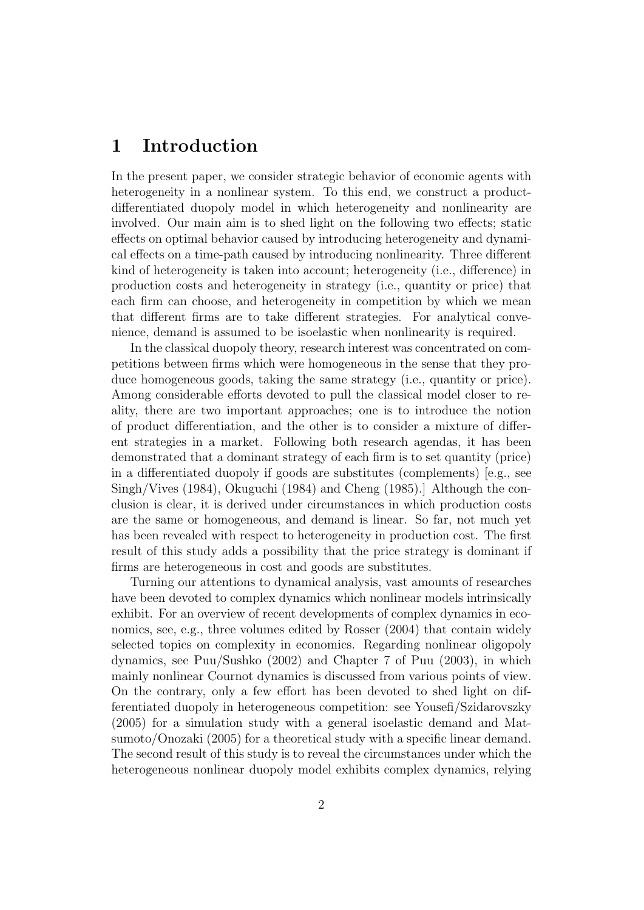## 1 Introduction

In the present paper, we consider strategic behavior of economic agents with heterogeneity in a nonlinear system. To this end, we construct a productdifferentiated duopoly model in which heterogeneity and nonlinearity are involved. Our main aim is to shed light on the following two effects; static effects on optimal behavior caused by introducing heterogeneity and dynamical effects on a time-path caused by introducing nonlinearity. Three different kind of heterogeneity is taken into account; heterogeneity (i.e., difference) in production costs and heterogeneity in strategy (i.e., quantity or price) that each firm can choose, and heterogeneity in competition by which we mean that different firms are to take different strategies. For analytical convenience, demand is assumed to be isoelastic when nonlinearity is required.

In the classical duopoly theory, research interest was concentrated on competitions between firms which were homogeneous in the sense that they produce homogeneous goods, taking the same strategy (i.e., quantity or price). Among considerable efforts devoted to pull the classical model closer to reality, there are two important approaches; one is to introduce the notion of product differentiation, and the other is to consider a mixture of different strategies in a market. Following both research agendas, it has been demonstrated that a dominant strategy of each firm is to set quantity (price) in a differentiated duopoly if goods are substitutes (complements) [e.g., see Singh/Vives (1984), Okuguchi (1984) and Cheng (1985).] Although the conclusion is clear, it is derived under circumstances in which production costs are the same or homogeneous, and demand is linear. So far, not much yet has been revealed with respect to heterogeneity in production cost. The first result of this study adds a possibility that the price strategy is dominant if firms are heterogeneous in cost and goods are substitutes.

Turning our attentions to dynamical analysis, vast amounts of researches have been devoted to complex dynamics which nonlinear models intrinsically exhibit. For an overview of recent developments of complex dynamics in economics, see, e.g., three volumes edited by Rosser (2004) that contain widely selected topics on complexity in economics. Regarding nonlinear oligopoly dynamics, see Puu/Sushko (2002) and Chapter 7 of Puu (2003), in which mainly nonlinear Cournot dynamics is discussed from various points of view. On the contrary, only a few effort has been devoted to shed light on differentiated duopoly in heterogeneous competition: see Yousefi/Szidarovszky (2005) for a simulation study with a general isoelastic demand and Matsumoto/Onozaki (2005) for a theoretical study with a specific linear demand. The second result of this study is to reveal the circumstances under which the heterogeneous nonlinear duopoly model exhibits complex dynamics, relying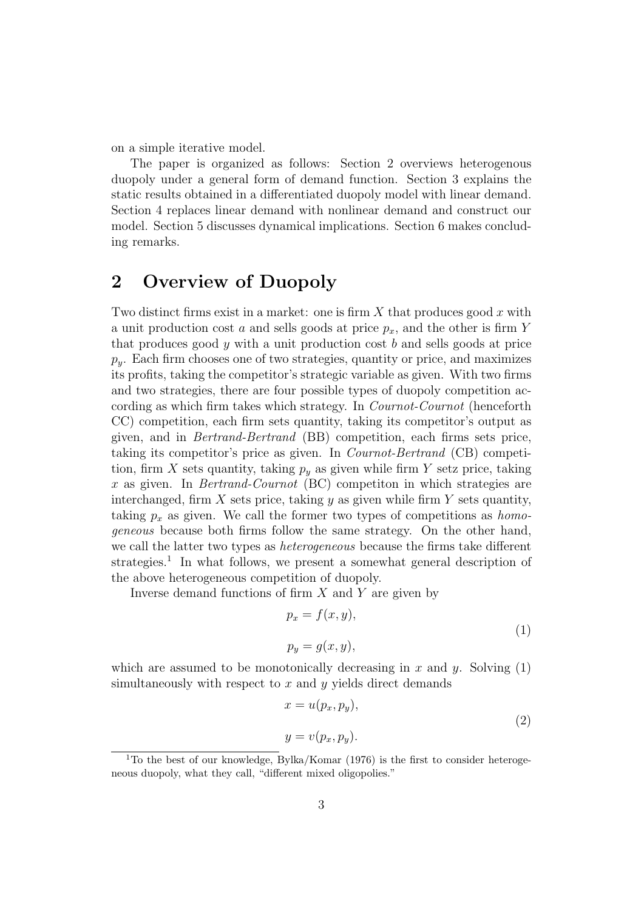on a simple iterative model.

The paper is organized as follows: Section 2 overviews heterogenous duopoly under a general form of demand function. Section 3 explains the static results obtained in a differentiated duopoly model with linear demand. Section 4 replaces linear demand with nonlinear demand and construct our model. Section 5 discusses dynamical implications. Section 6 makes concluding remarks.

## 2 Overview of Duopoly

Two distinct firms exist in a market: one is firm  $X$  that produces good  $x$  with a unit production cost a and sells goods at price  $p_x$ , and the other is firm Y that produces good  $y$  with a unit production cost  $b$  and sells goods at price  $p_y$ . Each firm chooses one of two strategies, quantity or price, and maximizes its profits, taking the competitor's strategic variable as given. With two firms and two strategies, there are four possible types of duopoly competition according as which firm takes which strategy. In Cournot-Cournot (henceforth CC) competition, each firm sets quantity, taking its competitor's output as given, and in Bertrand-Bertrand (BB) competition, each firms sets price, taking its competitor's price as given. In Cournot-Bertrand (CB) competition, firm X sets quantity, taking  $p_y$  as given while firm Y setz price, taking x as given. In Bertrand-Cournot (BC) competiton in which strategies are interchanged, firm  $X$  sets price, taking  $y$  as given while firm  $Y$  sets quantity, taking  $p_x$  as given. We call the former two types of competitions as *homo*geneous because both firms follow the same strategy. On the other hand, we call the latter two types as heterogeneous because the firms take different strategies.<sup>1</sup> In what follows, we present a somewhat general description of the above heterogeneous competition of duopoly.

Inverse demand functions of firm  $X$  and  $Y$  are given by

$$
p_x = f(x, y),
$$
  
\n
$$
p_y = g(x, y),
$$
\n(1)

which are assumed to be monotonically decreasing in x and y. Solving  $(1)$ simultaneously with respect to  $x$  and  $y$  yields direct demands

$$
x = u(p_x, p_y),
$$
  
\n
$$
y = v(p_x, p_y).
$$
\n(2)

 $1$ To the best of our knowledge, Bylka/Komar (1976) is the first to consider heterogeneous duopoly, what they call, "different mixed oligopolies."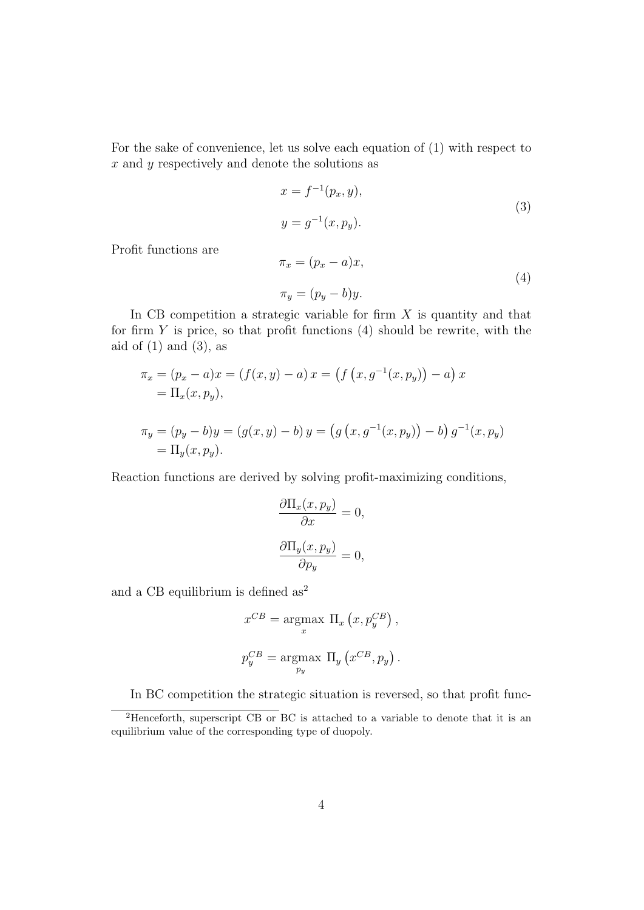For the sake of convenience, let us solve each equation of (1) with respect to  $x$  and  $y$  respectively and denote the solutions as

$$
x = f^{-1}(p_x, y),
$$
  
\n
$$
y = g^{-1}(x, p_y).
$$
\n(3)

Profit functions are

$$
\pi_x = (p_x - a)x,
$$
  
\n
$$
\pi_y = (p_y - b)y.
$$
\n(4)

In CB competition a strategic variable for firm  $X$  is quantity and that for firm  $Y$  is price, so that profit functions  $(4)$  should be rewrite, with the aid of  $(1)$  and  $(3)$ , as

$$
\pi_x = (p_x - a)x = (f(x, y) - a) x = (f (x, g^{-1}(x, p_y)) - a) x
$$
  
=  $\Pi_x(x, p_y)$ ,  

$$
\pi_y = (p_y - b)y = (g(x, y) - b) y = (g (x, g^{-1}(x, p_y)) - b) g^{-1}(x, p_y)
$$
  
=  $\Pi_y(x, p_y)$ .

Reaction functions are derived by solving profit-maximizing conditions,

$$
\frac{\partial \Pi_x(x, p_y)}{\partial x} = 0,
$$

$$
\frac{\partial \Pi_y(x, p_y)}{\partial p_y} = 0,
$$

and a CB equilibrium is defined  $as<sup>2</sup>$ 

$$
x^{CB} = \underset{x}{\text{argmax}} \Pi_x (x, p_y^{CB}),
$$
  

$$
p_y^{CB} = \underset{p_y}{\text{argmax}} \Pi_y (x^{CB}, p_y).
$$

In BC competition the strategic situation is reversed, so that profit func-

<sup>2</sup>Henceforth, superscript CB or BC is attached to a variable to denote that it is an equilibrium value of the corresponding type of duopoly.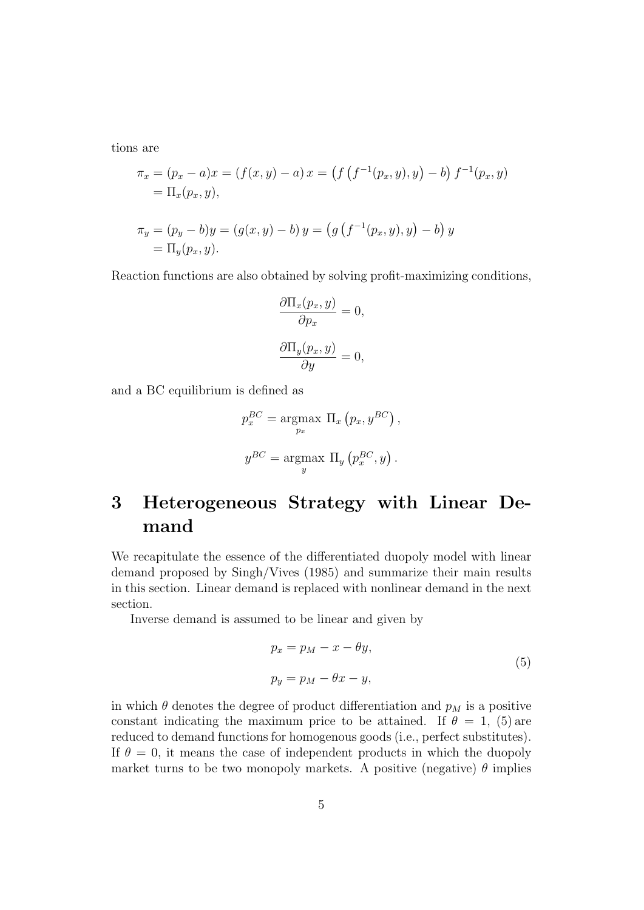tions are

$$
\pi_x = (p_x - a)x = (f(x, y) - a) x = (f(f^{-1}(p_x, y), y) - b) f^{-1}(p_x, y)
$$
  
=  $\Pi_x(p_x, y),$   

$$
\pi_y = (p_y - b)y = (g(x, y) - b) y = (g(f^{-1}(p_x, y), y) - b) y
$$
  
=  $\Pi_y(p_x, y).$ 

Reaction functions are also obtained by solving profit-maximizing conditions,

$$
\frac{\partial \Pi_x(p_x, y)}{\partial p_x} = 0,
$$

$$
\frac{\partial \Pi_y(p_x, y)}{\partial y} = 0,
$$

and a BC equilibrium is defined as

$$
p_x^{BC} = \underset{p_x}{\text{argmax}} \Pi_x \left( p_x, y^{BC} \right),
$$
  

$$
y^{BC} = \underset{y}{\text{argmax}} \Pi_y \left( p_x^{BC}, y \right).
$$

# 3 Heterogeneous Strategy with Linear Demand

We recapitulate the essence of the differentiated duopoly model with linear demand proposed by Singh/Vives (1985) and summarize their main results in this section. Linear demand is replaced with nonlinear demand in the next section.

Inverse demand is assumed to be linear and given by

$$
p_x = p_M - x - \theta y,
$$
  
\n
$$
p_y = p_M - \theta x - y,
$$
\n(5)

in which  $\theta$  denotes the degree of product differentiation and  $p_M$  is a positive constant indicating the maximum price to be attained. If  $\theta = 1$ , (5) are reduced to demand functions for homogenous goods (i.e., perfect substitutes). If  $\theta = 0$ , it means the case of independent products in which the duopoly market turns to be two monopoly markets. A positive (negative)  $\theta$  implies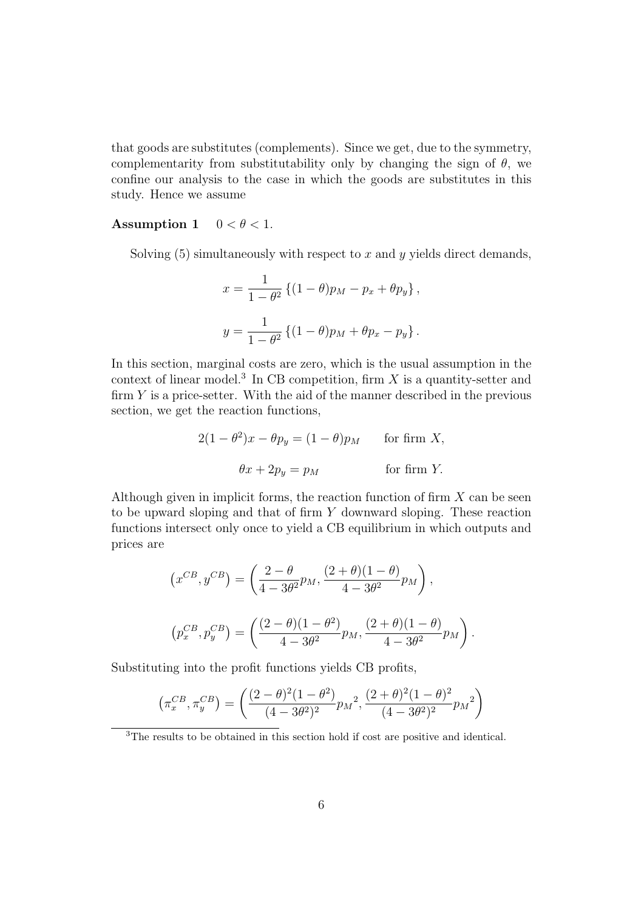that goods are substitutes (complements). Since we get, due to the symmetry, complementarity from substitutability only by changing the sign of  $\theta$ , we confine our analysis to the case in which the goods are substitutes in this study. Hence we assume

#### Assumption 1  $0 < \theta < 1$ .

Solving  $(5)$  simultaneously with respect to x and y yields direct demands,

$$
x = \frac{1}{1 - \theta^2} \left\{ (1 - \theta)p_M - p_x + \theta p_y \right\},\,
$$
  

$$
y = \frac{1}{1 - \theta^2} \left\{ (1 - \theta)p_M + \theta p_x - p_y \right\}.
$$

In this section, marginal costs are zero, which is the usual assumption in the context of linear model.<sup>3</sup> In CB competition, firm  $X$  is a quantity-setter and firm  $Y$  is a price-setter. With the aid of the manner described in the previous section, we get the reaction functions,

$$
2(1 - \theta^2)x - \theta p_y = (1 - \theta)p_M \quad \text{for firm } X,
$$
  

$$
\theta x + 2p_y = p_M \quad \text{for firm } Y.
$$

Although given in implicit forms, the reaction function of firm  $X$  can be seen to be upward sloping and that of firm Y downward sloping. These reaction functions intersect only once to yield a CB equilibrium in which outputs and prices are

$$
(x^{CB}, y^{CB}) = \left(\frac{2-\theta}{4-3\theta^2}p_M, \frac{(2+\theta)(1-\theta)}{4-3\theta^2}p_M\right),
$$
  

$$
(p_x^{CB}, p_y^{CB}) = \left(\frac{(2-\theta)(1-\theta^2)}{4-3\theta^2}p_M, \frac{(2+\theta)(1-\theta)}{4-3\theta^2}p_M\right).
$$

Substituting into the profit functions yields CB profits,

$$
\left(\pi_x^{CB}, \pi_y^{CB}\right) = \left(\frac{(2-\theta)^2(1-\theta^2)}{(4-3\theta^2)^2}p_M^2, \frac{(2+\theta)^2(1-\theta)^2}{(4-3\theta^2)^2}p_M^2\right)
$$

<sup>3</sup>The results to be obtained in this section hold if cost are positive and identical.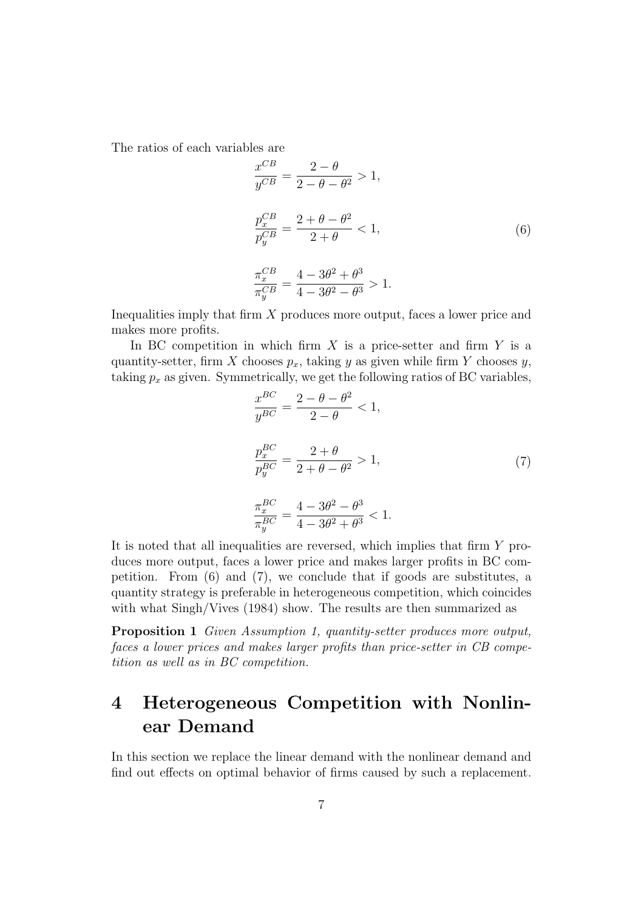The ratios of each variables are

$$
\frac{x^{CB}}{y^{CB}} = \frac{2 - \theta}{2 - \theta - \theta^2} > 1,
$$
\n
$$
\frac{p_x^{CB}}{p_y^{CB}} = \frac{2 + \theta - \theta^2}{2 + \theta} < 1,
$$
\n
$$
\frac{\pi_x^{CB}}{\pi_y^{CB}} = \frac{4 - 3\theta^2 + \theta^3}{4 - 3\theta^2 - \theta^3} > 1.
$$
\n(6)

Inequalities imply that firm X produces more output, faces a lower price and makes more profits.

In BC competition in which firm  $X$  is a price-setter and firm  $Y$  is a quantity-setter, firm X chooses  $p_x$ , taking y as given while firm Y chooses y, taking  $p_x$  as given. Symmetrically, we get the following ratios of BC variables,

$$
\frac{x^{BC}}{y^{BC}} = \frac{2 - \theta - \theta^2}{2 - \theta} < 1,
$$
\n
$$
\frac{p_x^{BC}}{p_y^{BC}} = \frac{2 + \theta}{2 + \theta - \theta^2} > 1,
$$
\n
$$
\frac{\pi_x^{BC}}{\pi_y^{BC}} = \frac{4 - 3\theta^2 - \theta^3}{4 - 3\theta^2 + \theta^3} < 1.
$$
\n(7)

It is noted that all inequalities are reversed, which implies that firm Y produces more output, faces a lower price and makes larger profits in BC competition. From (6) and (7), we conclude that if goods are substitutes, a quantity strategy is preferable in heterogeneous competition, which coincides with what  $\text{Singh/Vives}$  (1984) show. The results are then summarized as

Proposition 1 Given Assumption 1, quantity-setter produces more output, faces a lower prices and makes larger profits than price-setter in CB competition as well as in BC competition.

# 4 Heterogeneous Competition with Nonlinear Demand

In this section we replace the linear demand with the nonlinear demand and find out effects on optimal behavior of firms caused by such a replacement.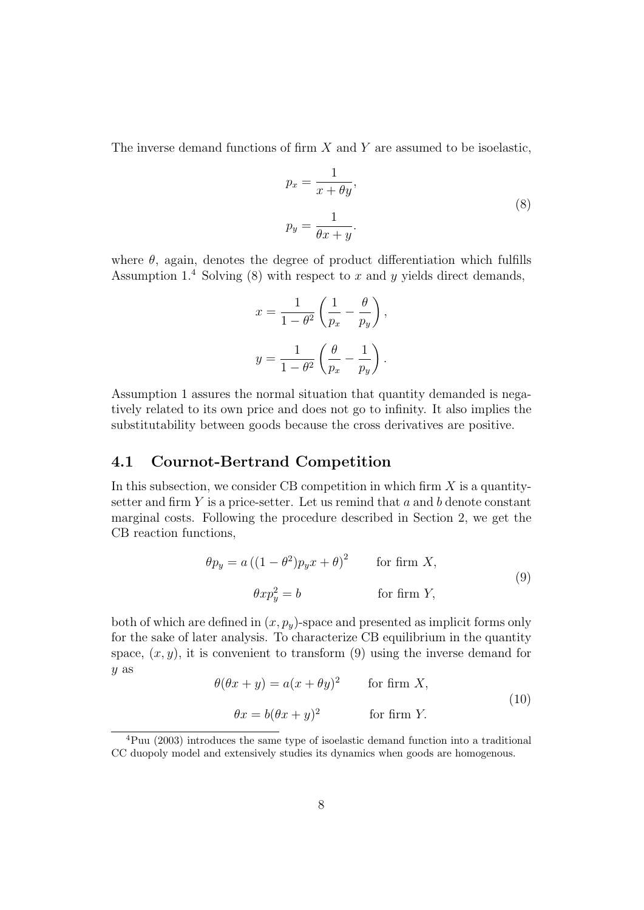The inverse demand functions of firm  $X$  and  $Y$  are assumed to be isoelastic,

$$
p_x = \frac{1}{x + \theta y},
$$
  
\n
$$
p_y = \frac{1}{\theta x + y}.
$$
\n(8)

where  $\theta$ , again, denotes the degree of product differentiation which fulfills Assumption  $1<sup>4</sup>$  Solving (8) with respect to x and y yields direct demands,

$$
x = \frac{1}{1 - \theta^2} \left( \frac{1}{p_x} - \frac{\theta}{p_y} \right),
$$
  

$$
y = \frac{1}{1 - \theta^2} \left( \frac{\theta}{p_x} - \frac{1}{p_y} \right).
$$

Assumption 1 assures the normal situation that quantity demanded is negatively related to its own price and does not go to infinity. It also implies the substitutability between goods because the cross derivatives are positive.

#### 4.1 Cournot-Bertrand Competition

In this subsection, we consider CB competition in which firm  $X$  is a quantitysetter and firm  $Y$  is a price-setter. Let us remind that  $a$  and  $b$  denote constant marginal costs. Following the procedure described in Section 2, we get the CB reaction functions,

$$
\theta p_y = a ((1 - \theta^2) p_y x + \theta)^2 \qquad \text{for firm } X,
$$
  

$$
\theta x p_y^2 = b \qquad \text{for firm } Y,
$$
 (9)

both of which are defined in  $(x, p_y)$ -space and presented as implicit forms only for the sake of later analysis. To characterize CB equilibrium in the quantity space,  $(x, y)$ , it is convenient to transform (9) using the inverse demand for y as

$$
\theta(\theta x + y) = a(x + \theta y)^2 \qquad \text{for firm } X,
$$
  
\n
$$
\theta x = b(\theta x + y)^2 \qquad \text{for firm } Y.
$$
\n(10)

<sup>4</sup>Puu (2003) introduces the same type of isoelastic demand function into a traditional CC duopoly model and extensively studies its dynamics when goods are homogenous.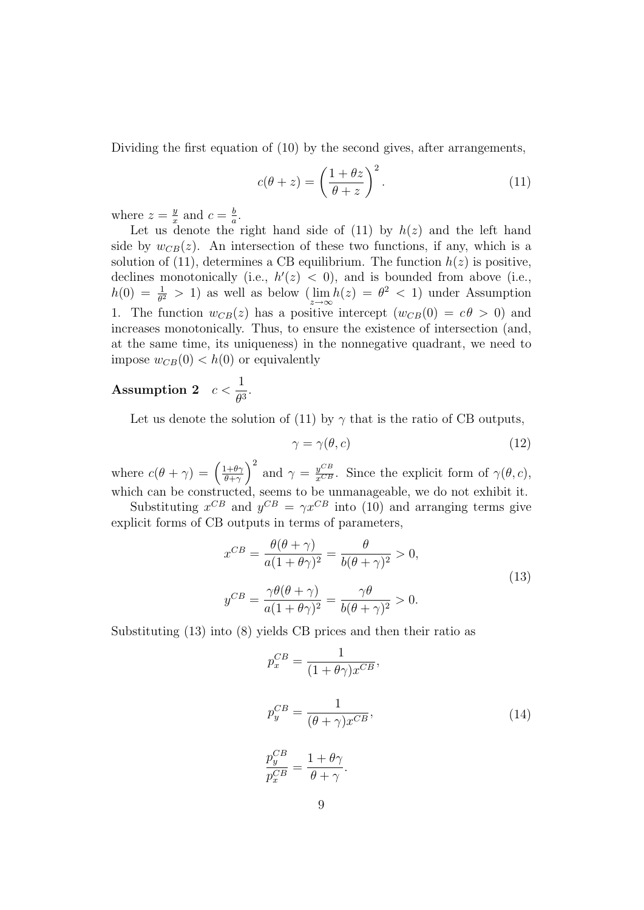Dividing the first equation of (10) by the second gives, after arrangements,

$$
c(\theta + z) = \left(\frac{1 + \theta z}{\theta + z}\right)^2.
$$
 (11)

where  $z=\frac{y}{x}$  $\frac{y}{x}$  and  $c = \frac{b}{a}$  $\frac{b}{a}$ .

Let us denote the right hand side of  $(11)$  by  $h(z)$  and the left hand side by  $w_{CB}(z)$ . An intersection of these two functions, if any, which is a solution of (11), determines a CB equilibrium. The function  $h(z)$  is positive, declines monotonically (i.e.,  $h'(z) < 0$ ), and is bounded from above (i.e.,  $h(0) = \frac{1}{\theta^2} > 1$  as well as below  $(\lim_{z \to \infty} h(z) = \theta^2 < 1)$  under Assumption 1. The function  $w_{CB}(z)$  has a positive intercept  $(w_{CB}(0) = c\theta > 0)$  and increases monotonically. Thus, to ensure the existence of intersection (and, at the same time, its uniqueness) in the nonnegative quadrant, we need to impose  $w_{CB}(0) < h(0)$  or equivalently

#### ${\rm Assumption ~2} \quad c <$ 1  $\frac{1}{\theta^3}$ .

Let us denote the solution of (11) by  $\gamma$  that is the ratio of CB outputs,

$$
\gamma = \gamma(\theta, c) \tag{12}
$$

where  $c(\theta + \gamma) = \left(\frac{1+\theta\gamma}{\theta+\gamma}\right)$  $\left(\frac{d^2 + \theta \gamma}{d^2 + \gamma}\right)^2$  and  $\gamma = \frac{y^{CB}}{x^{CB}}$ . Since the explicit form of  $\gamma(\theta, c)$ , which can be constructed, seems to be unmanageable, we do not exhibit it.

Substituting  $x^{CB}$  and  $y^{CB} = \gamma x^{CB}$  into (10) and arranging terms give explicit forms of CB outputs in terms of parameters,

$$
x^{CB} = \frac{\theta(\theta + \gamma)}{a(1 + \theta\gamma)^2} = \frac{\theta}{b(\theta + \gamma)^2} > 0,
$$
  

$$
y^{CB} = \frac{\gamma\theta(\theta + \gamma)}{a(1 + \theta\gamma)^2} = \frac{\gamma\theta}{b(\theta + \gamma)^2} > 0.
$$
 (13)

Substituting (13) into (8) yields CB prices and then their ratio as

$$
p_x^{CB} = \frac{1}{(1 + \theta \gamma)x^{CB}},
$$
  
\n
$$
p_y^{CB} = \frac{1}{(\theta + \gamma)x^{CB}},
$$
  
\n
$$
\frac{p_y^{CB}}{p_x^{CB}} = \frac{1 + \theta \gamma}{\theta + \gamma}.
$$
  
\n(14)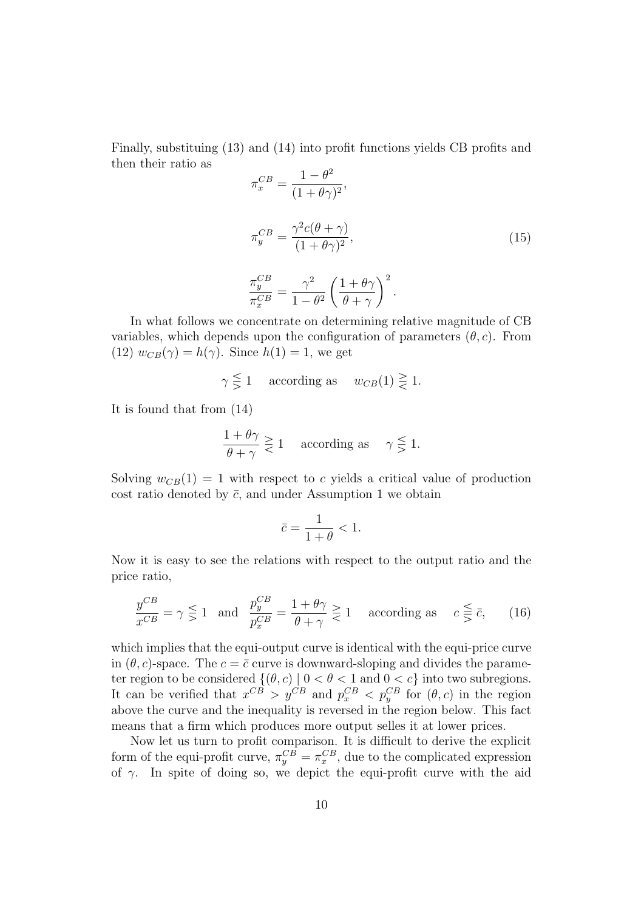Finally, substituing (13) and (14) into profit functions yields CB profits and then their ratio as  $\alpha$ <sup>2</sup>

$$
\pi_x^{CB} = \frac{1 - \theta^2}{(1 + \theta \gamma)^2},
$$
  
\n
$$
\pi_y^{CB} = \frac{\gamma^2 c(\theta + \gamma)}{(1 + \theta \gamma)^2},
$$
  
\n
$$
\frac{\pi_y^{CB}}{\pi_x^{CB}} = \frac{\gamma^2}{1 - \theta^2} \left(\frac{1 + \theta \gamma}{\theta + \gamma}\right)^2.
$$
\n(15)

In what follows we concentrate on determining relative magnitude of CB variables, which depends upon the configuration of parameters  $(\theta, c)$ . From (12)  $w_{CB}(\gamma) = h(\gamma)$ . Since  $h(1) = 1$ , we get

$$
\gamma \leq 1
$$
 according as  $w_{CB}(1) \geq 1$ .

It is found that from (14)

$$
\frac{1+\theta\gamma}{\theta+\gamma} \geq 1 \quad \text{according as} \quad \gamma \leq 1.
$$

Solving  $w_{CB}(1) = 1$  with respect to c yields a critical value of production cost ratio denoted by  $\bar{c}$ , and under Assumption 1 we obtain

$$
\bar{c} = \frac{1}{1+\theta} < 1.
$$

Now it is easy to see the relations with respect to the output ratio and the price ratio,

$$
\frac{y^{CB}}{x^{CB}} = \gamma \leq 1 \quad \text{and} \quad \frac{p_y^{CB}}{p_x^{CB}} = \frac{1+\theta\gamma}{\theta+\gamma} \geq 1 \quad \text{according as} \quad c \leq \bar{c}, \qquad (16)
$$

which implies that the equi-output curve is identical with the equi-price curve in  $(\theta, c)$ -space. The  $c = \overline{c}$  curve is downward-sloping and divides the parameter region to be considered  $\{(\theta, c) \mid 0 < \theta < 1 \text{ and } 0 < c\}$  into two subregions. It can be verified that  $x^{CB} > y^{CB}$  and  $p_x^{CB} < p_y^{CB}$  for  $(\theta, c)$  in the region above the curve and the inequality is reversed in the region below. This fact means that a firm which produces more output selles it at lower prices.

Now let us turn to profit comparison. It is difficult to derive the explicit form of the equi-profit curve,  $\pi_y^{CB} = \pi_x^{CB}$ , due to the complicated expression of  $\gamma$ . In spite of doing so, we depict the equi-profit curve with the aid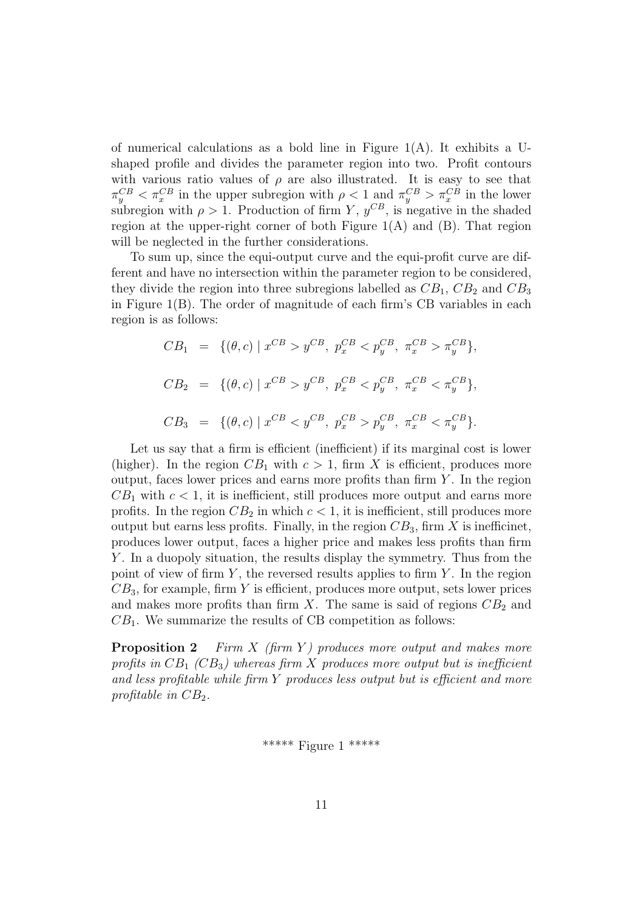of numerical calculations as a bold line in Figure  $1(A)$ . It exhibits a Ushaped profile and divides the parameter region into two. Profit contours with various ratio values of  $\rho$  are also illustrated. It is easy to see that  $\pi_y^{CB} < \pi_x^{CB}$  in the upper subregion with  $\rho < 1$  and  $\pi_y^{CB} > \pi_x^{CB}$  in the lower subregion with  $\rho > 1$ . Production of firm Y,  $y^{CB}$ , is negative in the shaded region at the upper-right corner of both Figure  $1(A)$  and  $(B)$ . That region will be neglected in the further considerations.

To sum up, since the equi-output curve and the equi-profit curve are different and have no intersection within the parameter region to be considered, they divide the region into three subregions labelled as  $CB_1$ ,  $CB_2$  and  $CB_3$ in Figure 1(B). The order of magnitude of each firm's CB variables in each region is as follows:

$$
CB_1 = \{ (\theta, c) \mid x^{CB} > y^{CB}, p_x^{CB} < p_y^{CB}, \pi_x^{CB} > \pi_y^{CB} \},
$$
  
\n
$$
CB_2 = \{ (\theta, c) \mid x^{CB} > y^{CB}, p_x^{CB} < p_y^{CB}, \pi_x^{CB} < \pi_y^{CB} \},
$$
  
\n
$$
CB_3 = \{ (\theta, c) \mid x^{CB} < y^{CB}, p_x^{CB} > p_y^{CB}, \pi_x^{CB} < \pi_y^{CB} \}.
$$

Let us say that a firm is efficient (inefficient) if its marginal cost is lower (higher). In the region  $CB_1$  with  $c > 1$ , firm X is efficient, produces more output, faces lower prices and earns more profits than firm  $Y$ . In the region  $CB<sub>1</sub>$  with  $c < 1$ , it is inefficient, still produces more output and earns more profits. In the region  $CB_2$  in which  $c < 1$ , it is inefficient, still produces more output but earns less profits. Finally, in the region  $CB_3$ , firm X is inefficinet, produces lower output, faces a higher price and makes less profits than firm Y. In a duopoly situation, the results display the symmetry. Thus from the point of view of firm  $Y$ , the reversed results applies to firm  $Y$ . In the region  $CB<sub>3</sub>$ , for example, firm Y is efficient, produces more output, sets lower prices and makes more profits than firm X. The same is said of regions  $CB<sub>2</sub>$  and  $CB<sub>1</sub>$ . We summarize the results of CB competition as follows:

**Proposition 2** Firm X (firm Y) produces more output and makes more profits in  $CB_1$  (CB<sub>3</sub>) whereas firm X produces more output but is inefficient and less profitable while firm Y produces less output but is efficient and more profitable in  $CB_2$ .

\*\*\*\*\* Figure 1 \*\*\*\*\*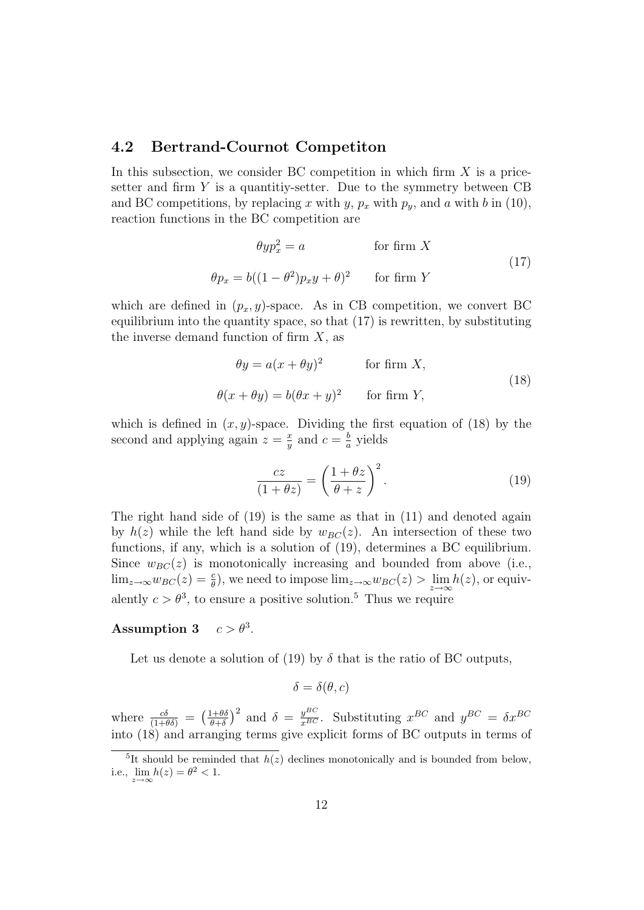#### 4.2 Bertrand-Cournot Competiton

In this subsection, we consider BC competition in which firm  $X$  is a pricesetter and firm  $Y$  is a quantitiy-setter. Due to the symmetry between  $CB$ and BC competitions, by replacing x with y,  $p_x$  with  $p_y$ , and a with b in (10), reaction functions in the BC competition are

$$
\theta y p_x^2 = a \qquad \text{for firm } X
$$
  

$$
\theta p_x = b((1 - \theta^2)p_x y + \theta)^2 \qquad \text{for firm } Y
$$
 (17)

which are defined in  $(p_x, y)$ -space. As in CB competition, we convert BC equilibrium into the quantity space, so that (17) is rewritten, by substituting the inverse demand function of firm  $X$ , as

$$
\theta y = a(x + \theta y)^2 \qquad \text{for firm } X,
$$
  

$$
\theta(x + \theta y) = b(\theta x + y)^2 \qquad \text{for firm } Y,
$$
 (18)

which is defined in  $(x, y)$ -space. Dividing the first equation of (18) by the second and applying again  $z = \frac{x}{y}$  $\frac{x}{y}$  and  $c = \frac{b}{a}$  $\frac{b}{a}$  yields

$$
\frac{cz}{(1+\theta z)} = \left(\frac{1+\theta z}{\theta+z}\right)^2.
$$
 (19)

The right hand side of  $(19)$  is the same as that in  $(11)$  and denoted again by  $h(z)$  while the left hand side by  $w_{BC}(z)$ . An intersection of these two functions, if any, which is a solution of (19), determines a BC equilibrium. Since  $w_{BC}(z)$  is monotonically increasing and bounded from above (i.e.,  $\lim_{z\to\infty}w_{BC}(z) = \frac{c}{\theta}$ , we need to impose  $\lim_{z\to\infty}w_{BC}(z) > \lim_{z\to\infty}h(z)$ , or equivalently  $c > \theta^3$ , to ensure a positive solution.<sup>5</sup> Thus we require

#### Assumption 3  $c > \theta^3$ .

Let us denote a solution of (19) by  $\delta$  that is the ratio of BC outputs,

$$
\delta = \delta(\theta, c)
$$

where  $\frac{c\delta}{(1+\theta\delta)} = \left(\frac{1+\theta\delta}{\theta+\delta}\right)$  $\frac{(1+\theta\delta)}{\theta+\delta}$  and  $\delta = \frac{y^{BC}}{x^{BC}}$ . Substituting  $x^{BC}$  and  $y^{BC} = \delta x^{BC}$ into (18) and arranging terms give explicit forms of BC outputs in terms of

<sup>&</sup>lt;sup>5</sup>It should be reminded that  $h(z)$  declines monotonically and is bounded from below, i.e.,  $\lim_{z \to \infty} h(z) = \theta^2 < 1$ .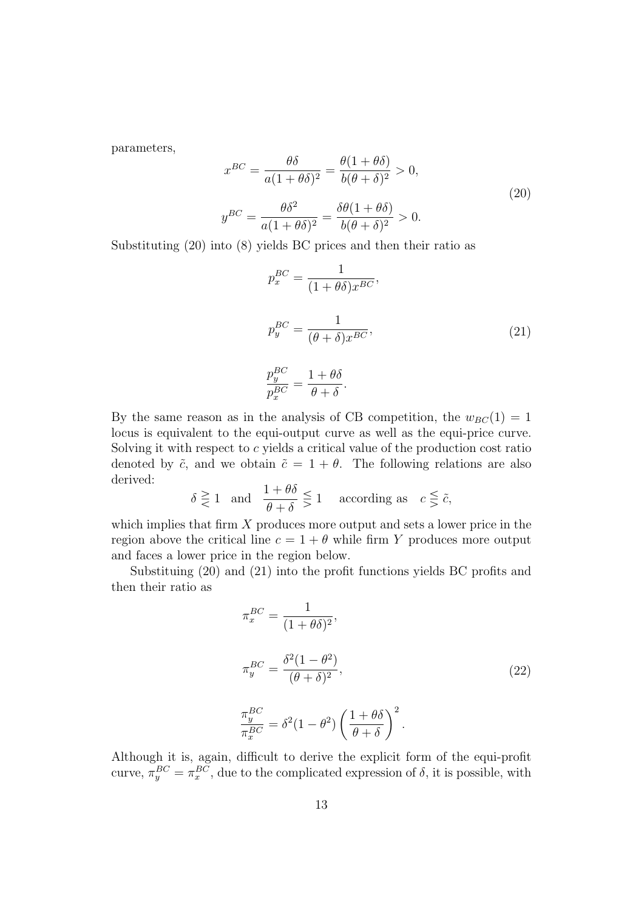parameters,

$$
x^{BC} = \frac{\theta \delta}{a(1 + \theta \delta)^2} = \frac{\theta(1 + \theta \delta)}{b(\theta + \delta)^2} > 0,
$$
  

$$
y^{BC} = \frac{\theta \delta^2}{a(1 + \theta \delta)^2} = \frac{\delta \theta(1 + \theta \delta)}{b(\theta + \delta)^2} > 0.
$$
 (20)

Substituting (20) into (8) yields BC prices and then their ratio as

$$
p_x^{BC} = \frac{1}{(1 + \theta \delta)x^{BC}},
$$
  
\n
$$
p_y^{BC} = \frac{1}{(\theta + \delta)x^{BC}},
$$
  
\n
$$
\frac{p_y^{BC}}{p_x^{BC}} = \frac{1 + \theta \delta}{\theta + \delta}.
$$
\n(21)

By the same reason as in the analysis of CB competition, the  $w_{BC}(1) = 1$ locus is equivalent to the equi-output curve as well as the equi-price curve. Solving it with respect to c yields a critical value of the production cost ratio denoted by  $\tilde{c}$ , and we obtain  $\tilde{c} = 1 + \theta$ . The following relations are also derived:

$$
\delta \gtreqless 1 \quad \text{and} \quad \frac{1+\theta\delta}{\theta+\delta} \gtreqless 1 \quad \text{according as} \quad c \gtreqless \tilde{c},
$$

which implies that firm  $X$  produces more output and sets a lower price in the region above the critical line  $c = 1 + \theta$  while firm Y produces more output and faces a lower price in the region below.

Substituing (20) and (21) into the profit functions yields BC profits and then their ratio as

$$
\pi_x^{BC} = \frac{1}{(1 + \theta \delta)^2},
$$
  
\n
$$
\pi_y^{BC} = \frac{\delta^2 (1 - \theta^2)}{(\theta + \delta)^2},
$$
  
\n
$$
\frac{\pi_y^{BC}}{\pi_x^{BC}} = \delta^2 (1 - \theta^2) \left(\frac{1 + \theta \delta}{\theta + \delta}\right)^2.
$$
\n(22)

Although it is, again, difficult to derive the explicit form of the equi-profit curve,  $\pi_y^{BC} = \pi_x^{BC}$ , due to the complicated expression of  $\delta$ , it is possible, with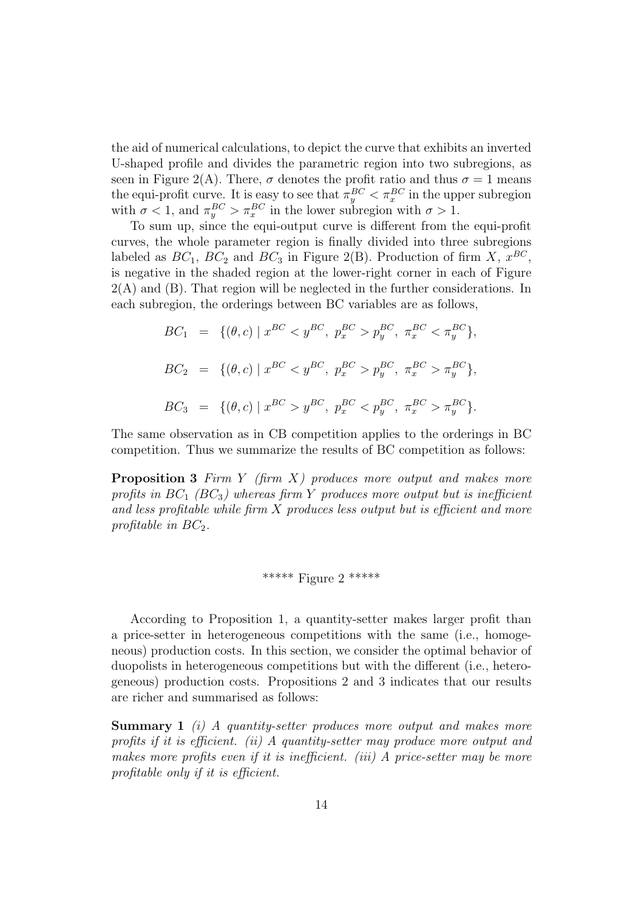the aid of numerical calculations, to depict the curve that exhibits an inverted U-shaped profile and divides the parametric region into two subregions, as seen in Figure 2(A). There,  $\sigma$  denotes the profit ratio and thus  $\sigma = 1$  means the equi-profit curve. It is easy to see that  $\pi_y^{BC} < \pi_x^{BC}$  in the upper subregion with  $\sigma < 1$ , and  $\pi_y^{BC} > \pi_x^{BC}$  in the lower subregion with  $\sigma > 1$ .

To sum up, since the equi-output curve is different from the equi-profit curves, the whole parameter region is finally divided into three subregions labeled as  $BC_1$ ,  $BC_2$  and  $BC_3$  in Figure 2(B). Production of firm X,  $x^{BC}$ , is negative in the shaded region at the lower-right corner in each of Figure  $2(A)$  and  $(B)$ . That region will be neglected in the further considerations. In each subregion, the orderings between BC variables are as follows,

$$
BC_1 = \{ (\theta, c) \mid x^{BC} < y^{BC}, \ p_x^{BC} > p_y^{BC}, \ \pi_x^{BC} < \pi_y^{BC} \},
$$
\n
$$
BC_2 = \{ (\theta, c) \mid x^{BC} < y^{BC}, \ p_x^{BC} > p_y^{BC}, \ \pi_x^{BC} > \pi_y^{BC} \},
$$
\n
$$
BC_3 = \{ (\theta, c) \mid x^{BC} > y^{BC}, \ p_x^{BC} < p_y^{BC}, \ \pi_x^{BC} > \pi_y^{BC} \}.
$$

The same observation as in CB competition applies to the orderings in BC competition. Thus we summarize the results of BC competition as follows:

**Proposition 3** Firm Y (firm  $X$ ) produces more output and makes more profits in  $BC_1$  ( $BC_3$ ) whereas firm Y produces more output but is inefficient and less profitable while firm  $X$  produces less output but is efficient and more profitable in  $BC_2$ .

### \*\*\*\*\* Figure 2 \*\*\*\*\*

According to Proposition 1, a quantity-setter makes larger profit than a price-setter in heterogeneous competitions with the same (i.e., homogeneous) production costs. In this section, we consider the optimal behavior of duopolists in heterogeneous competitions but with the different (i.e., heterogeneous) production costs. Propositions 2 and 3 indicates that our results are richer and summarised as follows:

**Summary 1** (i) A quantity-setter produces more output and makes more profits if it is efficient. (ii) A quantity-setter may produce more output and makes more profits even if it is inefficient. (iii) A price-setter may be more profitable only if it is efficient.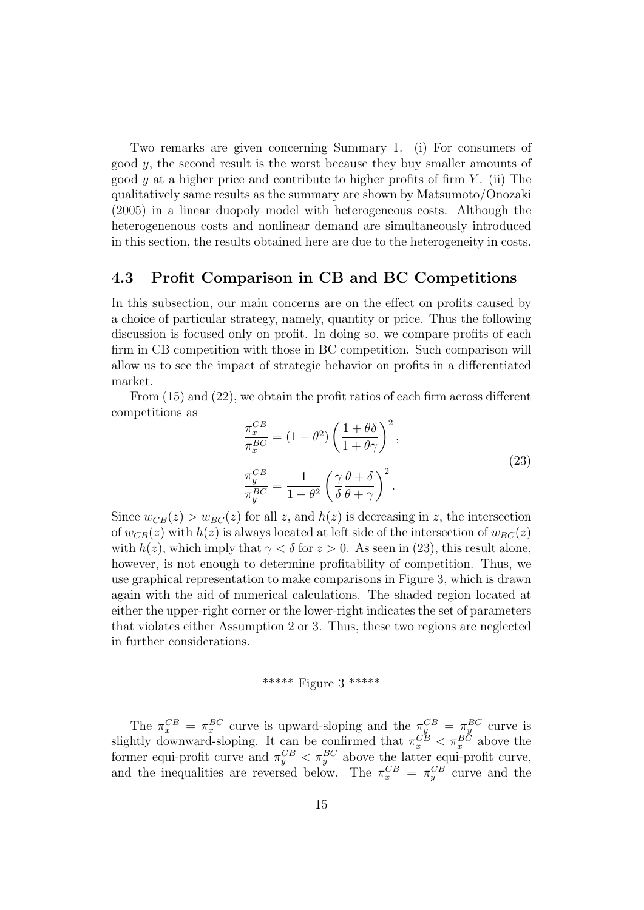Two remarks are given concerning Summary 1. (i) For consumers of good  $y$ , the second result is the worst because they buy smaller amounts of good y at a higher price and contribute to higher profits of firm  $Y$ . (ii) The qualitatively same results as the summary are shown by Matsumoto/Onozaki (2005) in a linear duopoly model with heterogeneous costs. Although the heterogenenous costs and nonlinear demand are simultaneously introduced in this section, the results obtained here are due to the heterogeneity in costs.

### 4.3 Profit Comparison in CB and BC Competitions

In this subsection, our main concerns are on the effect on profits caused by a choice of particular strategy, namely, quantity or price. Thus the following discussion is focused only on profit. In doing so, we compare profits of each firm in CB competition with those in BC competition. Such comparison will allow us to see the impact of strategic behavior on profits in a differentiated market.

From (15) and (22), we obtain the profit ratios of each firm across different competitions as

$$
\frac{\pi_x^{CB}}{\pi_x^{BC}} = (1 - \theta^2) \left( \frac{1 + \theta \delta}{1 + \theta \gamma} \right)^2,
$$
\n
$$
\frac{\pi_y^{CB}}{\pi_y^{BC}} = \frac{1}{1 - \theta^2} \left( \frac{\gamma}{\delta} \frac{\theta + \delta}{\theta + \gamma} \right)^2.
$$
\n(23)

Since  $w_{CB}(z) > w_{BC}(z)$  for all z, and  $h(z)$  is decreasing in z, the intersection of  $w_{CB}(z)$  with  $h(z)$  is always located at left side of the intersection of  $w_{BC}(z)$ with  $h(z)$ , which imply that  $\gamma < \delta$  for  $z > 0$ . As seen in (23), this result alone, however, is not enough to determine profitability of competition. Thus, we use graphical representation to make comparisons in Figure 3, which is drawn again with the aid of numerical calculations. The shaded region located at either the upper-right corner or the lower-right indicates the set of parameters that violates either Assumption 2 or 3. Thus, these two regions are neglected in further considerations.

## \*\*\*\*\* Figure 3 \*\*\*\*\*

The  $\pi_x^{CB} = \pi_x^{BC}$  curve is upward-sloping and the  $\pi_y^{CB} = \pi_y^{BC}$  curve is slightly downward-sloping. It can be confirmed that  $\pi_x^{CB} < \pi_x^{BC}$  above the former equi-profit curve and  $\pi_y^{CB} < \pi_y^{BC}$  above the latter equi-profit curve, and the inequalities are reversed below. The  $\pi_x^{CB} = \pi_y^{CB}$  curve and the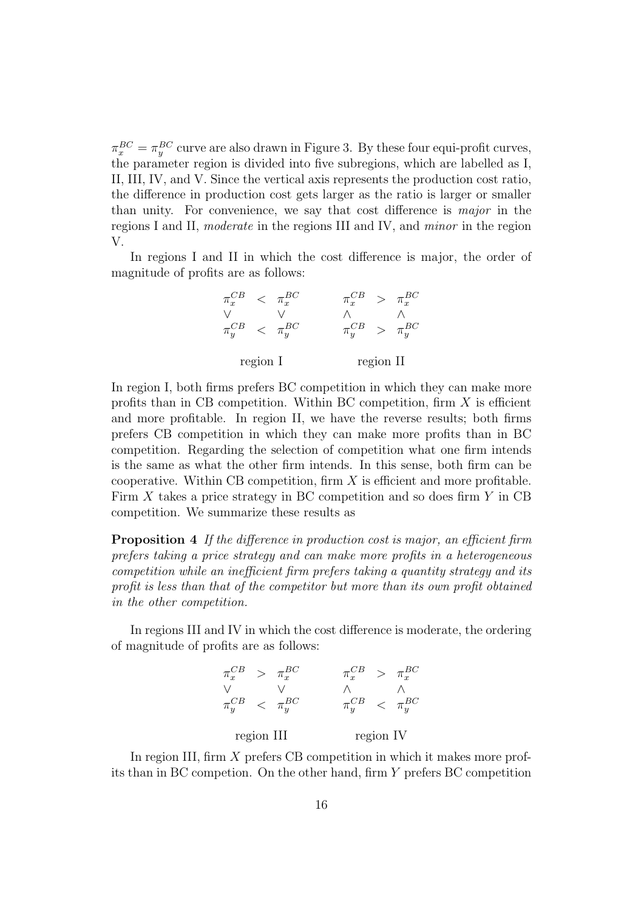$\pi_x^{BC} = \pi_y^{BC}$  curve are also drawn in Figure 3. By these four equi-profit curves, the parameter region is divided into five subregions, which are labelled as I, II, III, IV, and V. Since the vertical axis represents the production cost ratio, the difference in production cost gets larger as the ratio is larger or smaller than unity. For convenience, we say that cost difference is major in the regions I and II, moderate in the regions III and IV, and minor in the region V.

In regions I and II in which the cost difference is major, the order of magnitude of profits are as follows:

|                                                           | $\lt$ | $\pi_r^{BC}$         | $\pi_x^{\scriptscriptstyle CD}$ | $\geq$ | $\pi_x^{BC}$ |  |
|-----------------------------------------------------------|-------|----------------------|---------------------------------|--------|--------------|--|
|                                                           |       |                      |                                 |        |              |  |
| $\pi_u^{\scriptscriptstyle\cup\, \scriptscriptstyle\cup}$ |       | $\langle \pi_u^{BC}$ |                                 | $\geq$ | $\pi_u^{BC}$ |  |
| region I                                                  |       |                      | region II                       |        |              |  |

In region I, both firms prefers BC competition in which they can make more profits than in CB competition. Within BC competition, firm  $X$  is efficient and more profitable. In region II, we have the reverse results; both firms prefers CB competition in which they can make more profits than in BC competition. Regarding the selection of competition what one firm intends is the same as what the other firm intends. In this sense, both firm can be cooperative. Within CB competition, firm  $X$  is efficient and more profitable. Firm  $X$  takes a price strategy in BC competition and so does firm  $Y$  in CB competition. We summarize these results as

**Proposition 4** If the difference in production cost is major, an efficient firm prefers taking a price strategy and can make more profits in a heterogeneous competition while an inefficient firm prefers taking a quantity strategy and its profit is less than that of the competitor but more than its own profit obtained in the other competition.

In regions III and IV in which the cost difference is moderate, the ordering of magnitude of profits are as follows:

| $\pi_x^{Cb}$     | $\geq$ | $\pi_x^{BC}$            |           | $\geq$ | $\pi_r^{BC}$              |
|------------------|--------|-------------------------|-----------|--------|---------------------------|
|                  |        |                         |           |        |                           |
| $\pi_y^{\cup B}$ |        | $\epsilon$ $\pi_u^{BC}$ |           |        | $\epsilon$ $\pi_{y}^{BC}$ |
| region III       |        |                         | region IV |        |                           |

In region III, firm X prefers CB competition in which it makes more profits than in BC competion. On the other hand, firm Y prefers BC competition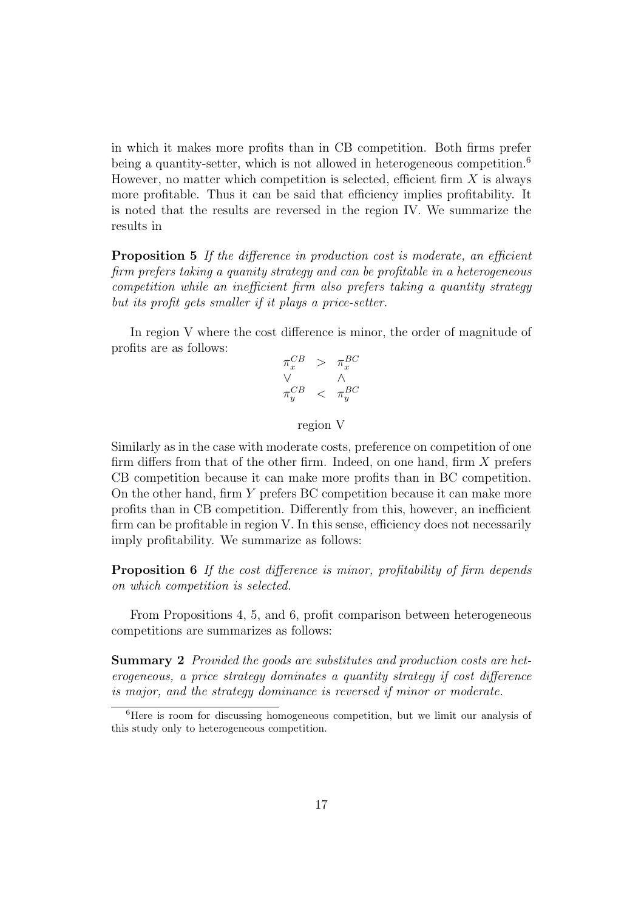in which it makes more profits than in CB competition. Both firms prefer being a quantity-setter, which is not allowed in heterogeneous competition.<sup>6</sup> However, no matter which competition is selected, efficient firm  $X$  is always more profitable. Thus it can be said that efficiency implies profitability. It is noted that the results are reversed in the region IV. We summarize the results in

**Proposition 5** If the difference in production cost is moderate, an efficient firm prefers taking a quanity strategy and can be profitable in a heterogeneous competition while an inefficient firm also prefers taking a quantity strategy but its profit gets smaller if it plays a price-setter.

In region V where the cost difference is minor, the order of magnitude of profits are as follows:

$$
\begin{array}{ccc} \pi_x^{CB} & > & \pi_x^{BC} \\ \vee & & \wedge \\ \pi_y^{CB} & < & \pi_y^{BC} \end{array}
$$

#### region V

Similarly as in the case with moderate costs, preference on competition of one firm differs from that of the other firm. Indeed, on one hand, firm  $X$  prefers CB competition because it can make more profits than in BC competition. On the other hand, firm Y prefers BC competition because it can make more profits than in CB competition. Differently from this, however, an inefficient firm can be profitable in region V. In this sense, efficiency does not necessarily imply profitability. We summarize as follows:

**Proposition 6** If the cost difference is minor, profitability of firm depends on which competition is selected.

From Propositions 4, 5, and 6, profit comparison between heterogeneous competitions are summarizes as follows:

Summary 2 Provided the goods are substitutes and production costs are heterogeneous, a price strategy dominates a quantity strategy if cost difference is major, and the strategy dominance is reversed if minor or moderate.

 $6$ Here is room for discussing homogeneous competition, but we limit our analysis of this study only to heterogeneous competition.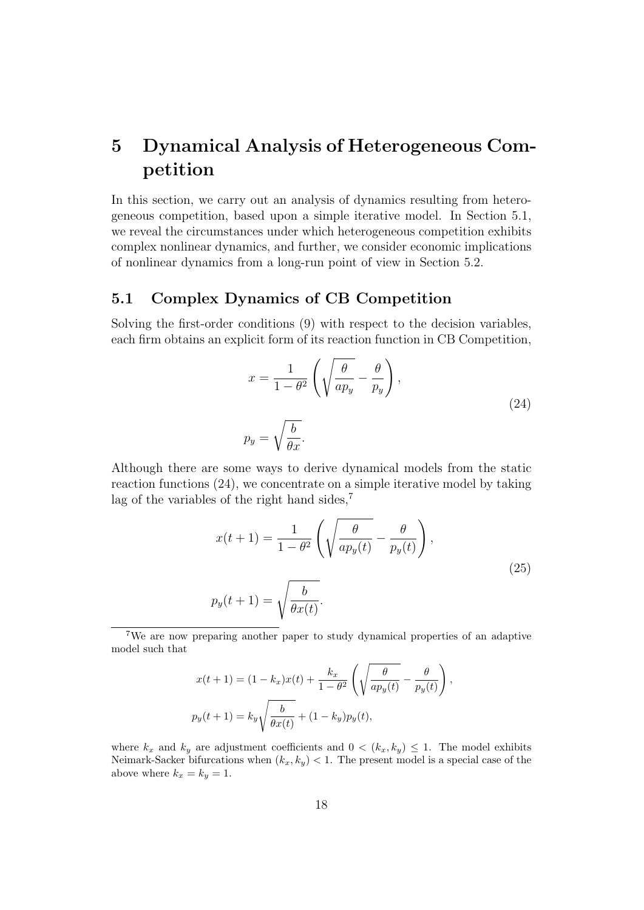# 5 Dynamical Analysis of Heterogeneous Competition

In this section, we carry out an analysis of dynamics resulting from heterogeneous competition, based upon a simple iterative model. In Section 5.1, we reveal the circumstances under which heterogeneous competition exhibits complex nonlinear dynamics, and further, we consider economic implications of nonlinear dynamics from a long-run point of view in Section 5.2.

## 5.1 Complex Dynamics of CB Competition

Solving the first-order conditions (9) with respect to the decision variables, each firm obtains an explicit form of its reaction function in CB Competition,

$$
x = \frac{1}{1 - \theta^2} \left( \sqrt{\frac{\theta}{ap_y}} - \frac{\theta}{p_y} \right),
$$
  
\n
$$
p_y = \sqrt{\frac{b}{\theta x}}.
$$
\n(24)

Although there are some ways to derive dynamical models from the static reaction functions (24), we concentrate on a simple iterative model by taking lag of the variables of the right hand sides, $^7$ 

$$
x(t+1) = \frac{1}{1-\theta^2} \left( \sqrt{\frac{\theta}{ap_y(t)}} - \frac{\theta}{p_y(t)} \right),
$$
  

$$
p_y(t+1) = \sqrt{\frac{b}{\theta x(t)}}.
$$
 (25)

<sup>7</sup>We are now preparing another paper to study dynamical properties of an adaptive model such that

$$
x(t+1) = (1 - k_x)x(t) + \frac{k_x}{1 - \theta^2} \left( \sqrt{\frac{\theta}{ap_y(t)}} - \frac{\theta}{p_y(t)} \right),
$$
  

$$
p_y(t+1) = k_y \sqrt{\frac{b}{\theta x(t)}} + (1 - k_y)p_y(t),
$$

where  $k_x$  and  $k_y$  are adjustment coefficients and  $0 < (k_x, k_y) \leq 1$ . The model exhibits Neimark-Sacker bifurcations when  $(k_x, k_y) < 1$ . The present model is a special case of the above where  $k_x = k_y = 1$ .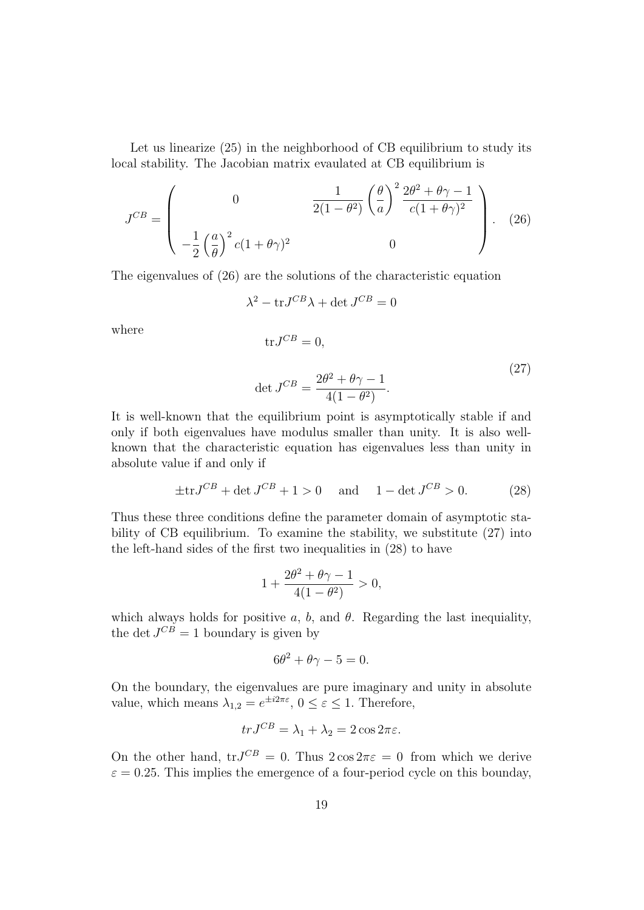Let us linearize  $(25)$  in the neighborhood of CB equilibrium to study its local stability. The Jacobian matrix evaulated at CB equilibrium is

$$
J^{CB} = \begin{pmatrix} 0 & \frac{1}{2(1-\theta^2)} \left(\frac{\theta}{a}\right)^2 \frac{2\theta^2 + \theta\gamma - 1}{c(1+\theta\gamma)^2} \\ -\frac{1}{2} \left(\frac{a}{\theta}\right)^2 c(1+\theta\gamma)^2 & 0 \end{pmatrix} . \tag{26}
$$

The eigenvalues of (26) are the solutions of the characteristic equation

$$
\lambda^2 - \text{tr} J^{CB} \lambda + \det J^{CB} = 0
$$

where

$$
\text{tr} J^{CB} = 0,
$$
  
\n
$$
\text{det} J^{CB} = \frac{2\theta^2 + \theta\gamma - 1}{4(1 - \theta^2)}.
$$
\n(27)

It is well-known that the equilibrium point is asymptotically stable if and only if both eigenvalues have modulus smaller than unity. It is also wellknown that the characteristic equation has eigenvalues less than unity in absolute value if and only if

$$
\pm \text{tr} J^{CB} + \det J^{CB} + 1 > 0
$$
 and  $1 - \det J^{CB} > 0.$  (28)

Thus these three conditions define the parameter domain of asymptotic stability of CB equilibrium. To examine the stability, we substitute (27) into the left-hand sides of the first two inequalities in (28) to have

$$
1 + \frac{2\theta^2 + \theta\gamma - 1}{4(1 - \theta^2)} > 0,
$$

which always holds for positive a, b, and  $\theta$ . Regarding the last inequiality, the det  $J^{CB} = 1$  boundary is given by

$$
6\theta^2 + \theta\gamma - 5 = 0.
$$

On the boundary, the eigenvalues are pure imaginary and unity in absolute value, which means  $\lambda_{1,2} = e^{\pm i2\pi\varepsilon}$ ,  $0 \le \varepsilon \le 1$ . Therefore,

$$
trJ^{CB} = \lambda_1 + \lambda_2 = 2\cos 2\pi\varepsilon.
$$

On the other hand,  $trJ^{CB} = 0$ . Thus  $2 \cos 2\pi \epsilon = 0$  from which we derive  $\varepsilon = 0.25$ . This implies the emergence of a four-period cycle on this bounday,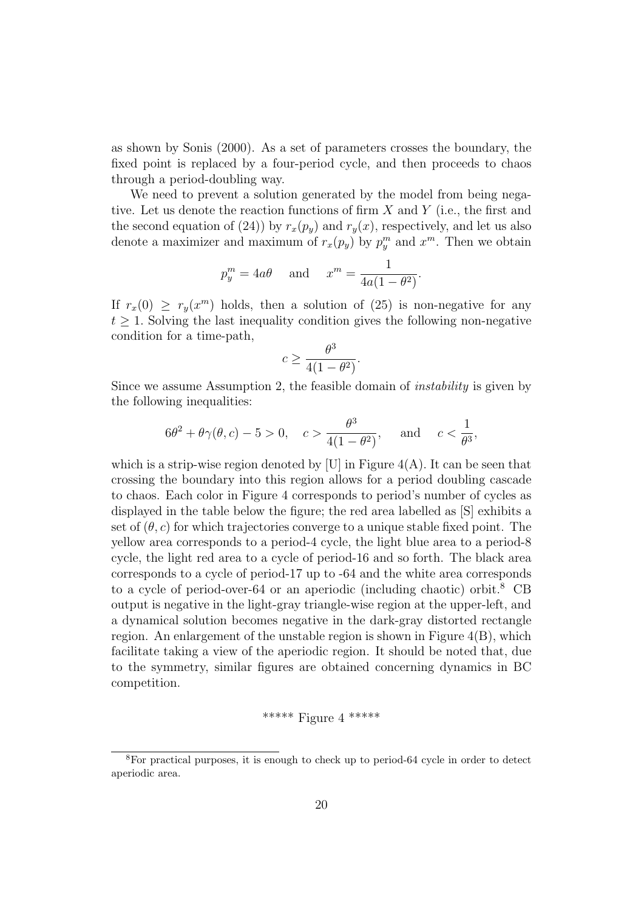as shown by Sonis (2000). As a set of parameters crosses the boundary, the fixed point is replaced by a four-period cycle, and then proceeds to chaos through a period-doubling way.

We need to prevent a solution generated by the model from being negative. Let us denote the reaction functions of firm  $X$  and  $Y$  (i.e., the first and the second equation of (24)) by  $r_x(p_y)$  and  $r_y(x)$ , respectively, and let us also denote a maximizer and maximum of  $r_x(p_y)$  by  $p_y^m$  and  $x^m$ . Then we obtain

$$
p_y^m = 4a\theta \quad \text{and} \quad x^m = \frac{1}{4a(1 - \theta^2)}.
$$

If  $r_x(0) \geq r_y(x^m)$  holds, then a solution of (25) is non-negative for any  $t \geq 1$ . Solving the last inequality condition gives the following non-negative condition for a time-path,

$$
c \ge \frac{\theta^3}{4(1-\theta^2)}.
$$

Since we assume Assumption 2, the feasible domain of instability is given by the following inequalities:

$$
6\theta^2 + \theta \gamma(\theta, c) - 5 > 0
$$
,  $c > \frac{\theta^3}{4(1 - \theta^2)}$ , and  $c < \frac{1}{\theta^3}$ ,

which is a strip-wise region denoted by [U] in Figure  $4(A)$ . It can be seen that crossing the boundary into this region allows for a period doubling cascade to chaos. Each color in Figure 4 corresponds to period's number of cycles as displayed in the table below the figure; the red area labelled as [S] exhibits a set of  $(\theta, c)$  for which trajectories converge to a unique stable fixed point. The yellow area corresponds to a period-4 cycle, the light blue area to a period-8 cycle, the light red area to a cycle of period-16 and so forth. The black area corresponds to a cycle of period-17 up to -64 and the white area corresponds to a cycle of period-over-64 or an aperiodic (including chaotic) orbit.<sup>8</sup> CB output is negative in the light-gray triangle-wise region at the upper-left, and a dynamical solution becomes negative in the dark-gray distorted rectangle region. An enlargement of the unstable region is shown in Figure  $4(B)$ , which facilitate taking a view of the aperiodic region. It should be noted that, due to the symmetry, similar figures are obtained concerning dynamics in BC competition.

### \*\*\*\*\* Figure 4 \*\*\*\*\*

<sup>8</sup>For practical purposes, it is enough to check up to period-64 cycle in order to detect aperiodic area.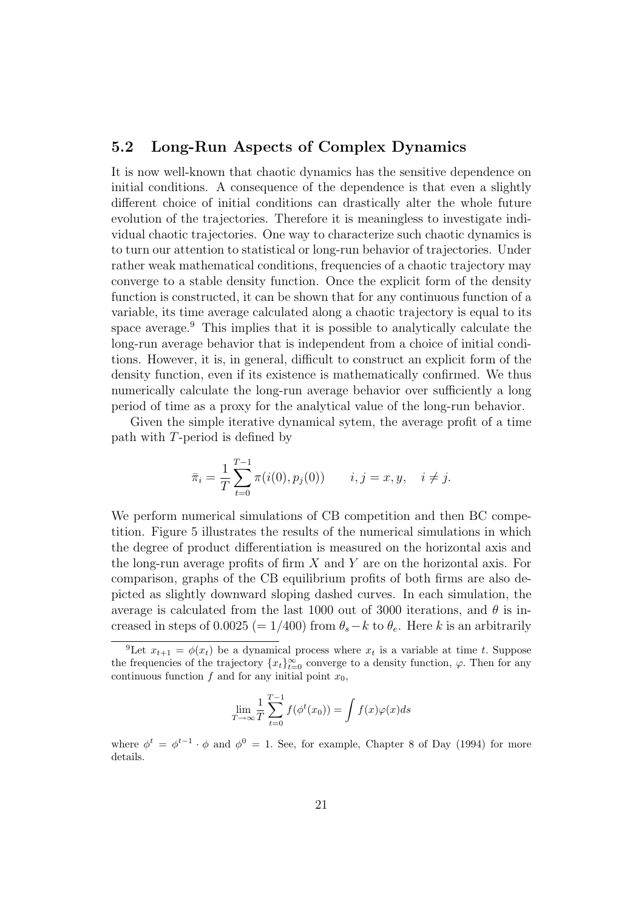### 5.2 Long-Run Aspects of Complex Dynamics

It is now well-known that chaotic dynamics has the sensitive dependence on initial conditions. A consequence of the dependence is that even a slightly different choice of initial conditions can drastically alter the whole future evolution of the trajectories. Therefore it is meaningless to investigate individual chaotic trajectories. One way to characterize such chaotic dynamics is to turn our attention to statistical or long-run behavior of trajectories. Under rather weak mathematical conditions, frequencies of a chaotic trajectory may converge to a stable density function. Once the explicit form of the density function is constructed, it can be shown that for any continuous function of a variable, its time average calculated along a chaotic trajectory is equal to its space average.<sup>9</sup> This implies that it is possible to analytically calculate the long-run average behavior that is independent from a choice of initial conditions. However, it is, in general, difficult to construct an explicit form of the density function, even if its existence is mathematically confirmed. We thus numerically calculate the long-run average behavior over sufficiently a long period of time as a proxy for the analytical value of the long-run behavior.

Given the simple iterative dynamical sytem, the average profit of a time path with T-period is defined by

$$
\bar{\pi}_i = \frac{1}{T} \sum_{t=0}^{T-1} \pi(i(0), p_j(0)) \qquad i, j = x, y, \quad i \neq j.
$$

We perform numerical simulations of CB competition and then BC competition. Figure 5 illustrates the results of the numerical simulations in which the degree of product differentiation is measured on the horizontal axis and the long-run average profits of firm  $X$  and  $Y$  are on the horizontal axis. For comparison, graphs of the CB equilibrium profits of both firms are also depicted as slightly downward sloping dashed curves. In each simulation, the average is calculated from the last 1000 out of 3000 iterations, and  $\theta$  is increased in steps of 0.0025 (= 1/400) from  $\theta_s - k$  to  $\theta_e$ . Here k is an arbitrarily

$$
\lim_{T \to \infty} \frac{1}{T} \sum_{t=0}^{T-1} f(\phi^t(x_0)) = \int f(x)\varphi(x)ds
$$

where  $\phi^t = \phi^{t-1} \cdot \phi$  and  $\phi^0 = 1$ . See, for example, Chapter 8 of Day (1994) for more details.

<sup>&</sup>lt;sup>9</sup>Let  $x_{t+1} = \phi(x_t)$  be a dynamical process where  $x_t$  is a variable at time t. Suppose the frequencies of the trajectory  ${x_t}_{t=0}^{\infty}$  converge to a density function,  $\varphi$ . Then for any continuous function  $f$  and for any initial point  $x_0$ ,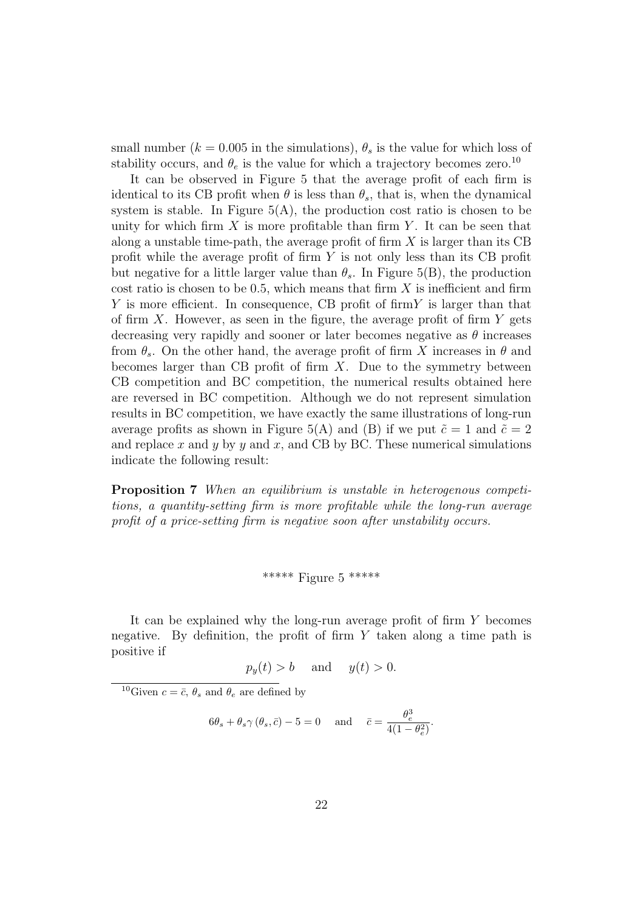small number ( $k = 0.005$  in the simulations),  $\theta_s$  is the value for which loss of stability occurs, and  $\theta_e$  is the value for which a trajectory becomes zero.<sup>10</sup>

It can be observed in Figure 5 that the average profit of each firm is identical to its CB profit when  $\theta$  is less than  $\theta_s$ , that is, when the dynamical system is stable. In Figure  $5(A)$ , the production cost ratio is chosen to be unity for which firm  $X$  is more profitable than firm  $Y$ . It can be seen that along a unstable time-path, the average profit of firm  $X$  is larger than its CB profit while the average profit of firm Y is not only less than its CB profit but negative for a little larger value than  $\theta_s$ . In Figure 5(B), the production cost ratio is chosen to be 0.5, which means that firm  $X$  is inefficient and firm  $Y$  is more efficient. In consequence, CB profit of firm  $Y$  is larger than that of firm  $X$ . However, as seen in the figure, the average profit of firm  $Y$  gets decreasing very rapidly and sooner or later becomes negative as  $\theta$  increases from  $\theta_s$ . On the other hand, the average profit of firm X increases in  $\theta$  and becomes larger than CB profit of firm  $X$ . Due to the symmetry between CB competition and BC competition, the numerical results obtained here are reversed in BC competition. Although we do not represent simulation results in BC competition, we have exactly the same illustrations of long-run average profits as shown in Figure 5(A) and (B) if we put  $\tilde{c} = 1$  and  $\tilde{c} = 2$ and replace x and y by y and x, and CB by BC. These numerical simulations indicate the following result:

Proposition 7 When an equilibrium is unstable in heterogenous competitions, a quantity-setting firm is more profitable while the long-run average profit of a price-setting firm is negative soon after unstability occurs.

#### \*\*\*\*\* Figure 5 \*\*\*\*\*

It can be explained why the long-run average profit of firm Y becomes negative. By definition, the profit of firm  $Y$  taken along a time path is positive if

$$
p_y(t) > b \quad \text{and} \quad y(t) > 0.
$$

<sup>10</sup>Given  $c = \bar{c}, \theta_s$  and  $\theta_e$  are defined by

$$
6\theta_s + \theta_s \gamma (\theta_s, \bar{c}) - 5 = 0
$$
 and  $\bar{c} = \frac{\theta_e^3}{4(1 - \theta_e^2)}$ .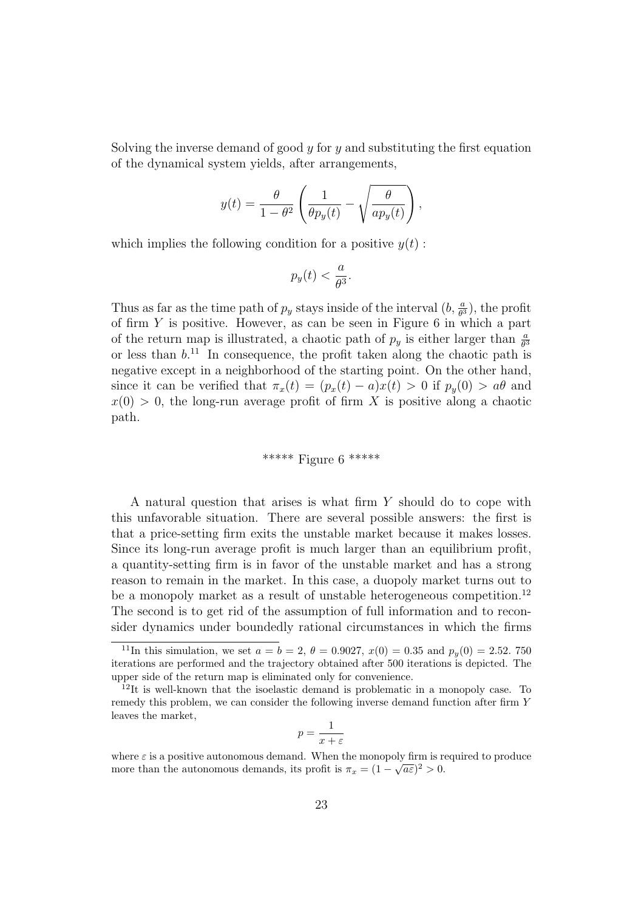Solving the inverse demand of good  $y$  for  $y$  and substituting the first equation of the dynamical system yields, after arrangements,

$$
y(t) = \frac{\theta}{1 - \theta^2} \left( \frac{1}{\theta p_y(t)} - \sqrt{\frac{\theta}{a p_y(t)}} \right),
$$

which implies the following condition for a positive  $y(t)$ :

$$
p_y(t) < \frac{a}{\theta^3}.
$$

Thus as far as the time path of  $p_y$  stays inside of the interval  $(b, \frac{a}{\theta^3})$ , the profit of firm  $Y$  is positive. However, as can be seen in Figure 6 in which a part of the return map is illustrated, a chaotic path of  $p_y$  is either larger than  $\frac{a}{\theta^3}$ or less than  $b^{11}$ . In consequence, the profit taken along the chaotic path is negative except in a neighborhood of the starting point. On the other hand, since it can be verified that  $\pi_x(t) = (p_x(t) - a)x(t) > 0$  if  $p_y(0) > a\theta$  and  $x(0) > 0$ , the long-run average profit of firm X is positive along a chaotic path.

#### \*\*\*\*\*\* Figure 6 \*\*\*\*\*

A natural question that arises is what firm Y should do to cope with this unfavorable situation. There are several possible answers: the first is that a price-setting firm exits the unstable market because it makes losses. Since its long-run average profit is much larger than an equilibrium profit, a quantity-setting firm is in favor of the unstable market and has a strong reason to remain in the market. In this case, a duopoly market turns out to be a monopoly market as a result of unstable heterogeneous competition.<sup>12</sup> The second is to get rid of the assumption of full information and to reconsider dynamics under boundedly rational circumstances in which the firms

$$
p = \frac{1}{x + \varepsilon}
$$

<sup>&</sup>lt;sup>11</sup>In this simulation, we set  $a = b = 2$ ,  $\theta = 0.9027$ ,  $x(0) = 0.35$  and  $p_y(0) = 2.52$ . 750 iterations are performed and the trajectory obtained after 500 iterations is depicted. The upper side of the return map is eliminated only for convenience.

<sup>12</sup>It is well-known that the isoelastic demand is problematic in a monopoly case. To remedy this problem, we can consider the following inverse demand function after firm Y leaves the market,

where  $\varepsilon$  is a positive autonomous demand. When the monopoly firm is required to produce more than the autonomous demands, its profit is  $\pi_x = (1 - \sqrt{a \varepsilon})^2 > 0$ .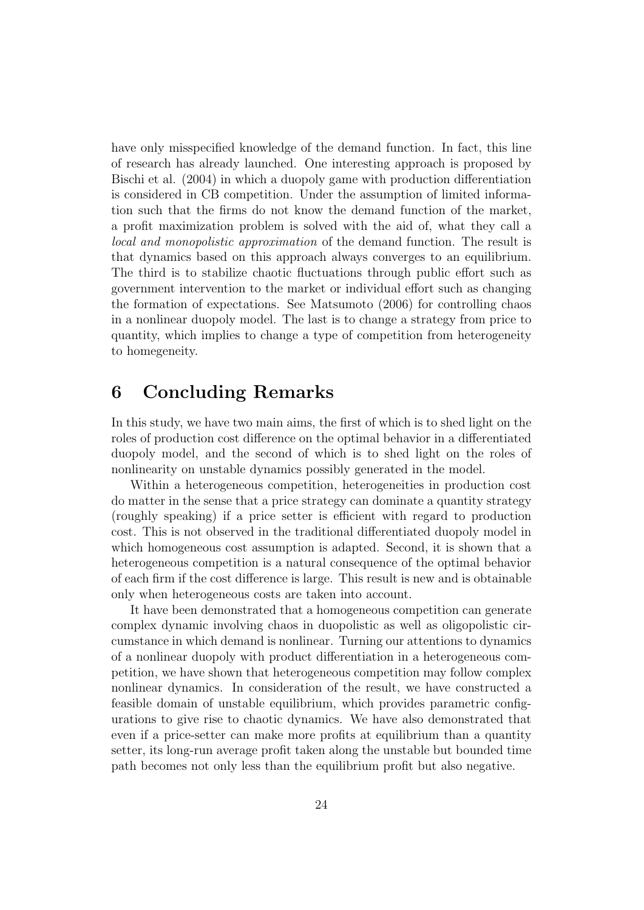have only misspecified knowledge of the demand function. In fact, this line of research has already launched. One interesting approach is proposed by Bischi et al. (2004) in which a duopoly game with production differentiation is considered in CB competition. Under the assumption of limited information such that the firms do not know the demand function of the market, a profit maximization problem is solved with the aid of, what they call a local and monopolistic approximation of the demand function. The result is that dynamics based on this approach always converges to an equilibrium. The third is to stabilize chaotic fluctuations through public effort such as government intervention to the market or individual effort such as changing the formation of expectations. See Matsumoto (2006) for controlling chaos in a nonlinear duopoly model. The last is to change a strategy from price to quantity, which implies to change a type of competition from heterogeneity to homegeneity.

## 6 Concluding Remarks

In this study, we have two main aims, the first of which is to shed light on the roles of production cost difference on the optimal behavior in a differentiated duopoly model, and the second of which is to shed light on the roles of nonlinearity on unstable dynamics possibly generated in the model.

Within a heterogeneous competition, heterogeneities in production cost do matter in the sense that a price strategy can dominate a quantity strategy (roughly speaking) if a price setter is efficient with regard to production cost. This is not observed in the traditional differentiated duopoly model in which homogeneous cost assumption is adapted. Second, it is shown that a heterogeneous competition is a natural consequence of the optimal behavior of each firm if the cost difference is large. This result is new and is obtainable only when heterogeneous costs are taken into account.

It have been demonstrated that a homogeneous competition can generate complex dynamic involving chaos in duopolistic as well as oligopolistic circumstance in which demand is nonlinear. Turning our attentions to dynamics of a nonlinear duopoly with product differentiation in a heterogeneous competition, we have shown that heterogeneous competition may follow complex nonlinear dynamics. In consideration of the result, we have constructed a feasible domain of unstable equilibrium, which provides parametric configurations to give rise to chaotic dynamics. We have also demonstrated that even if a price-setter can make more profits at equilibrium than a quantity setter, its long-run average profit taken along the unstable but bounded time path becomes not only less than the equilibrium profit but also negative.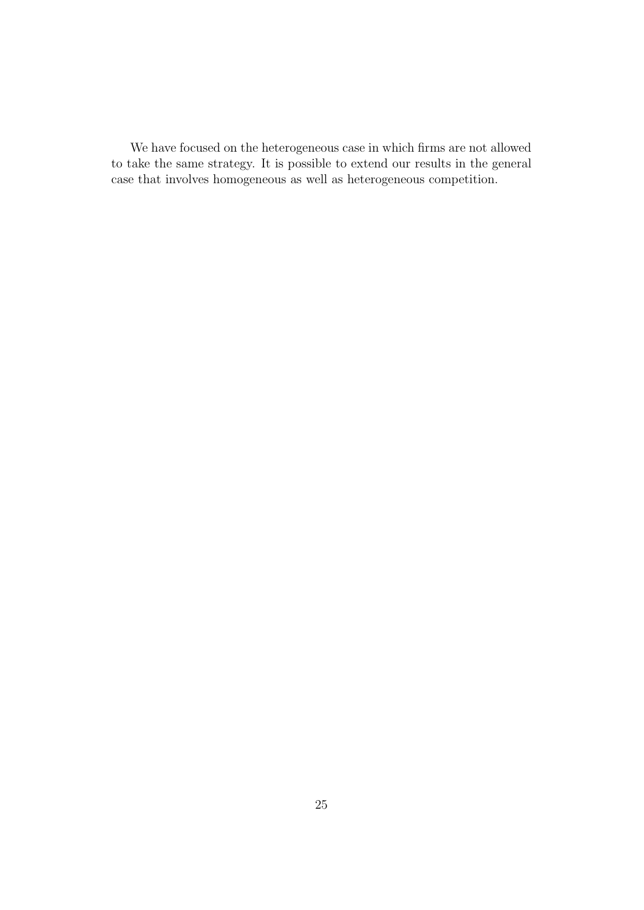We have focused on the heterogeneous case in which firms are not allowed to take the same strategy. It is possible to extend our results in the general case that involves homogeneous as well as heterogeneous competition.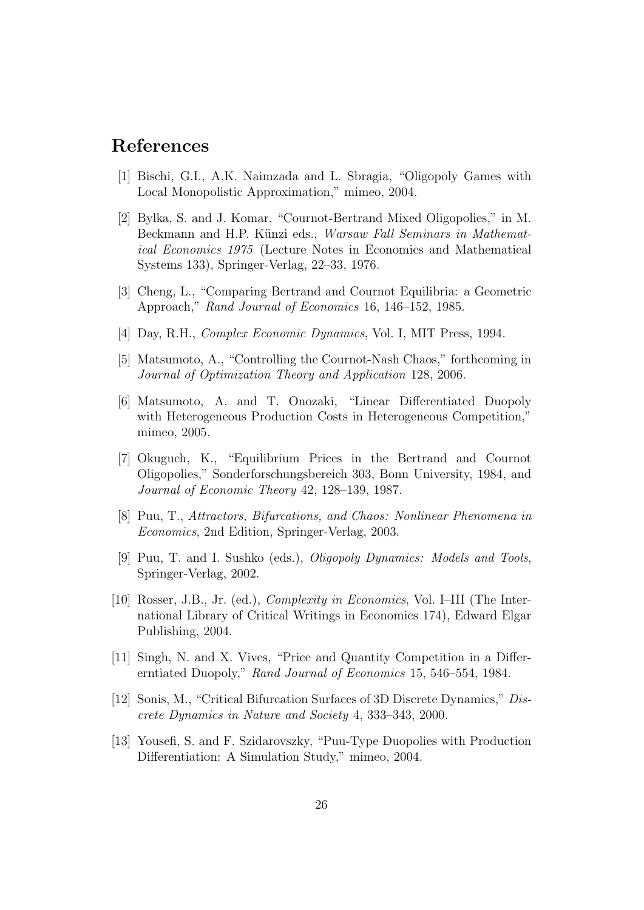## References

- [1] Bischi, G.I., A.K. Naimzada and L. Sbragia, "Oligopoly Games with Local Monopolistic Approximation," mimeo, 2004.
- [2] Bylka, S. and J. Komar, "Cournot-Bertrand Mixed Oligopolies," in M. Beckmann and H.P. Künzi eds., Warsaw Fall Seminars in Mathematical Economics 1975 (Lecture Notes in Economics and Mathematical Systems 133), Springer-Verlag, 22–33, 1976.
- [3] Cheng, L., "Comparing Bertrand and Cournot Equilibria: a Geometric Approach," Rand Journal of Economics 16, 146–152, 1985.
- [4] Day, R.H., Complex Economic Dynamics, Vol. I, MIT Press, 1994.
- [5] Matsumoto, A., "Controlling the Cournot-Nash Chaos," forthcoming in Journal of Optimization Theory and Application 128, 2006.
- [6] Matsumoto, A. and T. Onozaki, "Linear Differentiated Duopoly with Heterogeneous Production Costs in Heterogeneous Competition," mimeo, 2005.
- [7] Okuguch, K., "Equilibrium Prices in the Bertrand and Cournot Oligopolies," Sonderforschungsbereich 303, Bonn University, 1984, and Journal of Economic Theory 42, 128–139, 1987.
- [8] Puu, T., Attractors, Bifurcations, and Chaos: Nonlinear Phenomena in Economics, 2nd Edition, Springer-Verlag, 2003.
- [9] Puu, T. and I. Sushko (eds.), Oligopoly Dynamics: Models and Tools, Springer-Verlag, 2002.
- [10] Rosser, J.B., Jr. (ed.), Complexity in Economics, Vol. I–III (The International Library of Critical Writings in Economics 174), Edward Elgar Publishing, 2004.
- [11] Singh, N. and X. Vives, "Price and Quantity Competition in a Differerntiated Duopoly," Rand Journal of Economics 15, 546–554, 1984.
- [12] Sonis, M., "Critical Bifurcation Surfaces of 3D Discrete Dynamics," Discrete Dynamics in Nature and Society 4, 333–343, 2000.
- [13] Yousefi, S. and F. Szidarovszky, "Puu-Type Duopolies with Production Differentiation: A Simulation Study," mimeo, 2004.